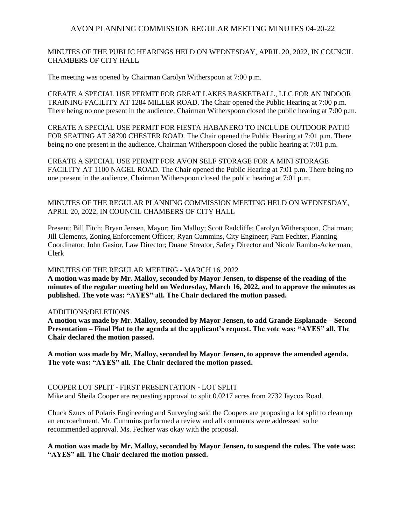MINUTES OF THE PUBLIC HEARINGS HELD ON WEDNESDAY, APRIL 20, 2022, IN COUNCIL CHAMBERS OF CITY HALL

The meeting was opened by Chairman Carolyn Witherspoon at 7:00 p.m.

CREATE A SPECIAL USE PERMIT FOR GREAT LAKES BASKETBALL, LLC FOR AN INDOOR TRAINING FACILITY AT 1284 MILLER ROAD. The Chair opened the Public Hearing at 7:00 p.m. There being no one present in the audience, Chairman Witherspoon closed the public hearing at 7:00 p.m.

CREATE A SPECIAL USE PERMIT FOR FIESTA HABANERO TO INCLUDE OUTDOOR PATIO FOR SEATING AT 38790 CHESTER ROAD. The Chair opened the Public Hearing at 7:01 p.m. There being no one present in the audience, Chairman Witherspoon closed the public hearing at 7:01 p.m.

CREATE A SPECIAL USE PERMIT FOR AVON SELF STORAGE FOR A MINI STORAGE FACILITY AT 1100 NAGEL ROAD. The Chair opened the Public Hearing at 7:01 p.m. There being no one present in the audience, Chairman Witherspoon closed the public hearing at 7:01 p.m.

## MINUTES OF THE REGULAR PLANNING COMMISSION MEETING HELD ON WEDNESDAY, APRIL 20, 2022, IN COUNCIL CHAMBERS OF CITY HALL

Present: Bill Fitch; Bryan Jensen, Mayor; Jim Malloy; Scott Radcliffe; Carolyn Witherspoon, Chairman; Jill Clements, Zoning Enforcement Officer; Ryan Cummins, City Engineer; Pam Fechter, Planning Coordinator; John Gasior, Law Director; Duane Streator, Safety Director and Nicole Rambo-Ackerman, Clerk

## MINUTES OF THE REGULAR MEETING - MARCH 16, 2022

**A motion was made by Mr. Malloy, seconded by Mayor Jensen, to dispense of the reading of the minutes of the regular meeting held on Wednesday, March 16, 2022, and to approve the minutes as published. The vote was: "AYES" all. The Chair declared the motion passed.**

#### ADDITIONS/DELETIONS

**A motion was made by Mr. Malloy, seconded by Mayor Jensen, to add Grande Esplanade – Second Presentation – Final Plat to the agenda at the applicant's request. The vote was: "AYES" all. The Chair declared the motion passed.**

**A motion was made by Mr. Malloy, seconded by Mayor Jensen, to approve the amended agenda. The vote was: "AYES" all. The Chair declared the motion passed.**

COOPER LOT SPLIT - FIRST PRESENTATION - LOT SPLIT Mike and Sheila Cooper are requesting approval to split 0.0217 acres from 2732 Jaycox Road.

Chuck Szucs of Polaris Engineering and Surveying said the Coopers are proposing a lot split to clean up an encroachment. Mr. Cummins performed a review and all comments were addressed so he recommended approval. Ms. Fechter was okay with the proposal.

**A motion was made by Mr. Malloy, seconded by Mayor Jensen, to suspend the rules. The vote was: "AYES" all. The Chair declared the motion passed.**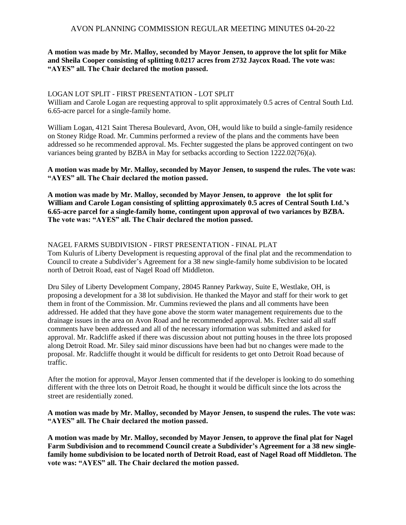## **A motion was made by Mr. Malloy, seconded by Mayor Jensen, to approve the lot split for Mike and Sheila Cooper consisting of splitting 0.0217 acres from 2732 Jaycox Road. The vote was: "AYES" all. The Chair declared the motion passed.**

## LOGAN LOT SPLIT - FIRST PRESENTATION - LOT SPLIT

William and Carole Logan are requesting approval to split approximately 0.5 acres of Central South Ltd. 6.65-acre parcel for a single-family home.

William Logan, 4121 Saint Theresa Boulevard, Avon, OH, would like to build a single-family residence on Stoney Ridge Road. Mr. Cummins performed a review of the plans and the comments have been addressed so he recommended approval. Ms. Fechter suggested the plans be approved contingent on two variances being granted by BZBA in May for setbacks according to Section 1222.02(76)(a).

**A motion was made by Mr. Malloy, seconded by Mayor Jensen, to suspend the rules. The vote was: "AYES" all. The Chair declared the motion passed.**

**A motion was made by Mr. Malloy, seconded by Mayor Jensen, to approve the lot split for William and Carole Logan consisting of splitting approximately 0.5 acres of Central South Ltd.'s 6.65-acre parcel for a single-family home, contingent upon approval of two variances by BZBA. The vote was: "AYES" all. The Chair declared the motion passed.**

# NAGEL FARMS SUBDIVISION - FIRST PRESENTATION - FINAL PLAT

Tom Kuluris of Liberty Development is requesting approval of the final plat and the recommendation to Council to create a Subdivider's Agreement for a 38 new single-family home subdivision to be located north of Detroit Road, east of Nagel Road off Middleton.

Dru Siley of Liberty Development Company, 28045 Ranney Parkway, Suite E, Westlake, OH, is proposing a development for a 38 lot subdivision. He thanked the Mayor and staff for their work to get them in front of the Commission. Mr. Cummins reviewed the plans and all comments have been addressed. He added that they have gone above the storm water management requirements due to the drainage issues in the area on Avon Road and he recommended approval. Ms. Fechter said all staff comments have been addressed and all of the necessary information was submitted and asked for approval. Mr. Radcliffe asked if there was discussion about not putting houses in the three lots proposed along Detroit Road. Mr. Siley said minor discussions have been had but no changes were made to the proposal. Mr. Radcliffe thought it would be difficult for residents to get onto Detroit Road because of traffic.

After the motion for approval, Mayor Jensen commented that if the developer is looking to do something different with the three lots on Detroit Road, he thought it would be difficult since the lots across the street are residentially zoned.

## **A motion was made by Mr. Malloy, seconded by Mayor Jensen, to suspend the rules. The vote was: "AYES" all. The Chair declared the motion passed.**

**A motion was made by Mr. Malloy, seconded by Mayor Jensen, to approve the final plat for Nagel Farm Subdivision and to recommend Council create a Subdivider's Agreement for a 38 new singlefamily home subdivision to be located north of Detroit Road, east of Nagel Road off Middleton. The vote was: "AYES" all. The Chair declared the motion passed.**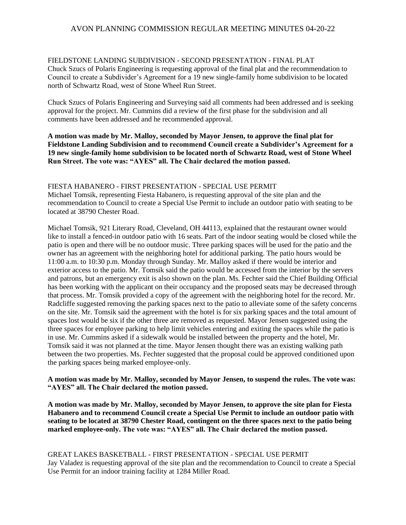## FIELDSTONE LANDING SUBDIVISION - SECOND PRESENTATION - FINAL PLAT

Chuck Szucs of Polaris Engineering is requesting approval of the final plat and the recommendation to Council to create a Subdivider's Agreement for a 19 new single-family home subdivision to be located north of Schwartz Road, west of Stone Wheel Run Street.

Chuck Szucs of Polaris Engineering and Surveying said all comments had been addressed and is seeking approval for the project. Mr. Cummins did a review of the first phase for the subdivision and all comments have been addressed and he recommended approval.

## **A motion was made by Mr. Malloy, seconded by Mayor Jensen, to approve the final plat for Fieldstone Landing Subdivision and to recommend Council create a Subdivider's Agreement for a 19 new single-family home subdivision to be located north of Schwartz Road, west of Stone Wheel Run Street. The vote was: "AYES" all. The Chair declared the motion passed.**

FIESTA HABANERO - FIRST PRESENTATION - SPECIAL USE PERMIT Michael Tomsik, representing Fiesta Habanero, is requesting approval of the site plan and the recommendation to Council to create a Special Use Permit to include an outdoor patio with seating to be located at 38790 Chester Road.

Michael Tomsik, 921 Literary Road, Cleveland, OH 44113, explained that the restaurant owner would like to install a fenced-in outdoor patio with 16 seats. Part of the indoor seating would be closed while the patio is open and there will be no outdoor music. Three parking spaces will be used for the patio and the owner has an agreement with the neighboring hotel for additional parking. The patio hours would be 11:00 a.m. to 10:30 p.m. Monday through Sunday. Mr. Malloy asked if there would be interior and exterior access to the patio. Mr. Tomsik said the patio would be accessed from the interior by the servers and patrons, but an emergency exit is also shown on the plan. Ms. Fechter said the Chief Building Official has been working with the applicant on their occupancy and the proposed seats may be decreased through that process. Mr. Tomsik provided a copy of the agreement with the neighboring hotel for the record. Mr. Radcliffe suggested removing the parking spaces next to the patio to alleviate some of the safety concerns on the site. Mr. Tomsik said the agreement with the hotel is for six parking spaces and the total amount of spaces lost would be six if the other three are removed as requested. Mayor Jensen suggested using the three spaces for employee parking to help limit vehicles entering and exiting the spaces while the patio is in use. Mr. Cummins asked if a sidewalk would be installed between the property and the hotel, Mr. Tomsik said it was not planned at the time. Mayor Jensen thought there was an existing walking path between the two properties. Ms. Fechter suggested that the proposal could be approved conditioned upon the parking spaces being marked employee-only.

## **A motion was made by Mr. Malloy, seconded by Mayor Jensen, to suspend the rules. The vote was: "AYES" all. The Chair declared the motion passed.**

**A motion was made by Mr. Malloy, seconded by Mayor Jensen, to approve the site plan for Fiesta Habanero and to recommend Council create a Special Use Permit to include an outdoor patio with seating to be located at 38790 Chester Road, contingent on the three spaces next to the patio being marked employee-only. The vote was: "AYES" all. The Chair declared the motion passed.**

## GREAT LAKES BASKETBALL - FIRST PRESENTATION - SPECIAL USE PERMIT Jay Valadez is requesting approval of the site plan and the recommendation to Council to create a Special Use Permit for an indoor training facility at 1284 Miller Road.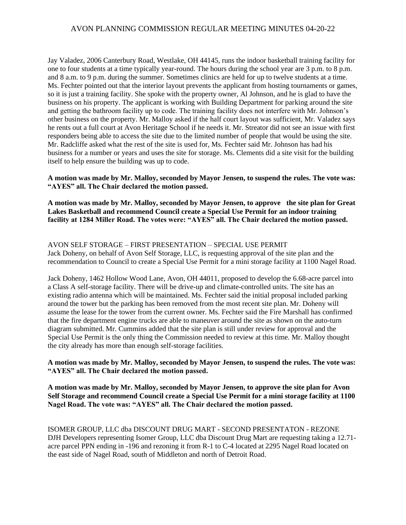Jay Valadez, 2006 Canterbury Road, Westlake, OH 44145, runs the indoor basketball training facility for one to four students at a time typically year-round. The hours during the school year are 3 p.m. to 8 p.m. and 8 a.m. to 9 p.m. during the summer. Sometimes clinics are held for up to twelve students at a time. Ms. Fechter pointed out that the interior layout prevents the applicant from hosting tournaments or games, so it is just a training facility. She spoke with the property owner, Al Johnson, and he is glad to have the business on his property. The applicant is working with Building Department for parking around the site and getting the bathroom facility up to code. The training facility does not interfere with Mr. Johnson's other business on the property. Mr. Malloy asked if the half court layout was sufficient, Mr. Valadez says he rents out a full court at Avon Heritage School if he needs it. Mr. Streator did not see an issue with first responders being able to access the site due to the limited number of people that would be using the site. Mr. Radcliffe asked what the rest of the site is used for, Ms. Fechter said Mr. Johnson has had his business for a number or years and uses the site for storage. Ms. Clements did a site visit for the building itself to help ensure the building was up to code.

**A motion was made by Mr. Malloy, seconded by Mayor Jensen, to suspend the rules. The vote was: "AYES" all. The Chair declared the motion passed.**

**A motion was made by Mr. Malloy, seconded by Mayor Jensen, to approve the site plan for Great Lakes Basketball and recommend Council create a Special Use Permit for an indoor training facility at 1284 Miller Road. The votes were: "AYES" all. The Chair declared the motion passed.**

AVON SELF STORAGE – FIRST PRESENTATION – SPECIAL USE PERMIT Jack Doheny, on behalf of Avon Self Storage, LLC, is requesting approval of the site plan and the recommendation to Council to create a Special Use Permit for a mini storage facility at 1100 Nagel Road.

Jack Doheny, 1462 Hollow Wood Lane, Avon, OH 44011, proposed to develop the 6.68-acre parcel into a Class A self-storage facility. There will be drive-up and climate-controlled units. The site has an existing radio antenna which will be maintained. Ms. Fechter said the initial proposal included parking around the tower but the parking has been removed from the most recent site plan. Mr. Doheny will assume the lease for the tower from the current owner. Ms. Fechter said the Fire Marshall has confirmed that the fire department engine trucks are able to maneuver around the site as shown on the auto-turn diagram submitted. Mr. Cummins added that the site plan is still under review for approval and the Special Use Permit is the only thing the Commission needed to review at this time. Mr. Malloy thought the city already has more than enough self-storage facilities.

**A motion was made by Mr. Malloy, seconded by Mayor Jensen, to suspend the rules. The vote was: "AYES" all. The Chair declared the motion passed.**

**A motion was made by Mr. Malloy, seconded by Mayor Jensen, to approve the site plan for Avon Self Storage and recommend Council create a Special Use Permit for a mini storage facility at 1100 Nagel Road. The vote was: "AYES" all. The Chair declared the motion passed.**

ISOMER GROUP, LLC dba DISCOUNT DRUG MART - SECOND PRESENTATON - REZONE DJH Developers representing Isomer Group, LLC dba Discount Drug Mart are requesting taking a 12.71 acre parcel PPN ending in -196 and rezoning it from R-1 to C-4 located at 2295 Nagel Road located on the east side of Nagel Road, south of Middleton and north of Detroit Road.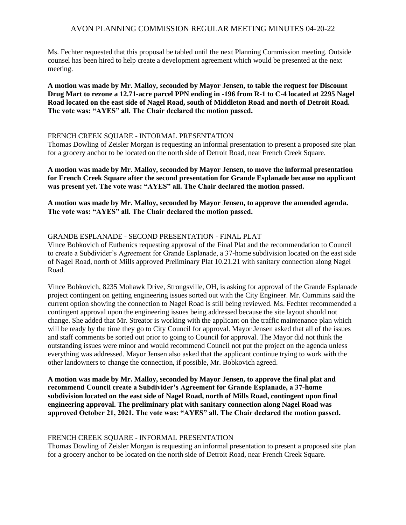Ms. Fechter requested that this proposal be tabled until the next Planning Commission meeting. Outside counsel has been hired to help create a development agreement which would be presented at the next meeting.

**A motion was made by Mr. Malloy, seconded by Mayor Jensen, to table the request for Discount Drug Mart to rezone a 12.71-acre parcel PPN ending in -196 from R-1 to C-4 located at 2295 Nagel Road located on the east side of Nagel Road, south of Middleton Road and north of Detroit Road. The vote was: "AYES" all. The Chair declared the motion passed.**

#### FRENCH CREEK SQUARE - INFORMAL PRESENTATION

Thomas Dowling of Zeisler Morgan is requesting an informal presentation to present a proposed site plan for a grocery anchor to be located on the north side of Detroit Road, near French Creek Square.

**A motion was made by Mr. Malloy, seconded by Mayor Jensen, to move the informal presentation for French Creek Square after the second presentation for Grande Esplanade because no applicant was present yet. The vote was: "AYES" all. The Chair declared the motion passed.**

**A motion was made by Mr. Malloy, seconded by Mayor Jensen, to approve the amended agenda. The vote was: "AYES" all. The Chair declared the motion passed.**

## GRANDE ESPLANADE - SECOND PRESENTATION - FINAL PLAT

Vince Bobkovich of Euthenics requesting approval of the Final Plat and the recommendation to Council to create a Subdivider's Agreement for Grande Esplanade, a 37-home subdivision located on the east side of Nagel Road, north of Mills approved Preliminary Plat 10.21.21 with sanitary connection along Nagel Road.

Vince Bobkovich, 8235 Mohawk Drive, Strongsville, OH, is asking for approval of the Grande Esplanade project contingent on getting engineering issues sorted out with the City Engineer. Mr. Cummins said the current option showing the connection to Nagel Road is still being reviewed. Ms. Fechter recommended a contingent approval upon the engineering issues being addressed because the site layout should not change. She added that Mr. Streator is working with the applicant on the traffic maintenance plan which will be ready by the time they go to City Council for approval. Mayor Jensen asked that all of the issues and staff comments be sorted out prior to going to Council for approval. The Mayor did not think the outstanding issues were minor and would recommend Council not put the project on the agenda unless everything was addressed. Mayor Jensen also asked that the applicant continue trying to work with the other landowners to change the connection, if possible, Mr. Bobkovich agreed.

**A motion was made by Mr. Malloy, seconded by Mayor Jensen, to approve the final plat and recommend Council create a Subdivider's Agreement for Grande Esplanade, a 37-home subdivision located on the east side of Nagel Road, north of Mills Road, contingent upon final engineering approval. The preliminary plat with sanitary connection along Nagel Road was approved October 21, 2021. The vote was: "AYES" all. The Chair declared the motion passed.**

#### FRENCH CREEK SQUARE - INFORMAL PRESENTATION

Thomas Dowling of Zeisler Morgan is requesting an informal presentation to present a proposed site plan for a grocery anchor to be located on the north side of Detroit Road, near French Creek Square.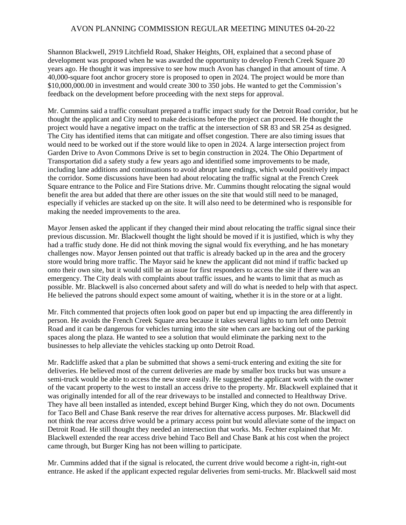Shannon Blackwell, 2919 Litchfield Road, Shaker Heights, OH, explained that a second phase of development was proposed when he was awarded the opportunity to develop French Creek Square 20 years ago. He thought it was impressive to see how much Avon has changed in that amount of time. A 40,000-square foot anchor grocery store is proposed to open in 2024. The project would be more than \$10,000,000.00 in investment and would create 300 to 350 jobs. He wanted to get the Commission's feedback on the development before proceeding with the next steps for approval.

Mr. Cummins said a traffic consultant prepared a traffic impact study for the Detroit Road corridor, but he thought the applicant and City need to make decisions before the project can proceed. He thought the project would have a negative impact on the traffic at the intersection of SR 83 and SR 254 as designed. The City has identified items that can mitigate and offset congestion. There are also timing issues that would need to be worked out if the store would like to open in 2024. A large intersection project from Garden Drive to Avon Commons Drive is set to begin construction in 2024. The Ohio Department of Transportation did a safety study a few years ago and identified some improvements to be made, including lane additions and continuations to avoid abrupt lane endings, which would positively impact the corridor. Some discussions have been had about relocating the traffic signal at the French Creek Square entrance to the Police and Fire Stations drive. Mr. Cummins thought relocating the signal would benefit the area but added that there are other issues on the site that would still need to be managed, especially if vehicles are stacked up on the site. It will also need to be determined who is responsible for making the needed improvements to the area.

Mayor Jensen asked the applicant if they changed their mind about relocating the traffic signal since their previous discussion. Mr. Blackwell thought the light should be moved if it is justified, which is why they had a traffic study done. He did not think moving the signal would fix everything, and he has monetary challenges now. Mayor Jensen pointed out that traffic is already backed up in the area and the grocery store would bring more traffic. The Mayor said he knew the applicant did not mind if traffic backed up onto their own site, but it would still be an issue for first responders to access the site if there was an emergency. The City deals with complaints about traffic issues, and he wants to limit that as much as possible. Mr. Blackwell is also concerned about safety and will do what is needed to help with that aspect. He believed the patrons should expect some amount of waiting, whether it is in the store or at a light.

Mr. Fitch commented that projects often look good on paper but end up impacting the area differently in person. He avoids the French Creek Square area because it takes several lights to turn left onto Detroit Road and it can be dangerous for vehicles turning into the site when cars are backing out of the parking spaces along the plaza. He wanted to see a solution that would eliminate the parking next to the businesses to help alleviate the vehicles stacking up onto Detroit Road.

Mr. Radcliffe asked that a plan be submitted that shows a semi-truck entering and exiting the site for deliveries. He believed most of the current deliveries are made by smaller box trucks but was unsure a semi-truck would be able to access the new store easily. He suggested the applicant work with the owner of the vacant property to the west to install an access drive to the property. Mr. Blackwell explained that it was originally intended for all of the rear driveways to be installed and connected to Healthway Drive. They have all been installed as intended, except behind Burger King, which they do not own. Documents for Taco Bell and Chase Bank reserve the rear drives for alternative access purposes. Mr. Blackwell did not think the rear access drive would be a primary access point but would alleviate some of the impact on Detroit Road. He still thought they needed an intersection that works. Ms. Fechter explained that Mr. Blackwell extended the rear access drive behind Taco Bell and Chase Bank at his cost when the project came through, but Burger King has not been willing to participate.

Mr. Cummins added that if the signal is relocated, the current drive would become a right-in, right-out entrance. He asked if the applicant expected regular deliveries from semi-trucks. Mr. Blackwell said most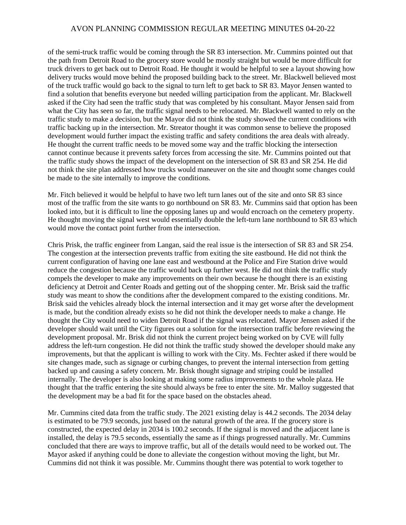of the semi-truck traffic would be coming through the SR 83 intersection. Mr. Cummins pointed out that the path from Detroit Road to the grocery store would be mostly straight but would be more difficult for truck drivers to get back out to Detroit Road. He thought it would be helpful to see a layout showing how delivery trucks would move behind the proposed building back to the street. Mr. Blackwell believed most of the truck traffic would go back to the signal to turn left to get back to SR 83. Mayor Jensen wanted to find a solution that benefits everyone but needed willing participation from the applicant. Mr. Blackwell asked if the City had seen the traffic study that was completed by his consultant. Mayor Jensen said from what the City has seen so far, the traffic signal needs to be relocated. Mr. Blackwell wanted to rely on the traffic study to make a decision, but the Mayor did not think the study showed the current conditions with traffic backing up in the intersection. Mr. Streator thought it was common sense to believe the proposed development would further impact the existing traffic and safety conditions the area deals with already. He thought the current traffic needs to be moved some way and the traffic blocking the intersection cannot continue because it prevents safety forces from accessing the site. Mr. Cummins pointed out that the traffic study shows the impact of the development on the intersection of SR 83 and SR 254. He did not think the site plan addressed how trucks would maneuver on the site and thought some changes could be made to the site internally to improve the conditions.

Mr. Fitch believed it would be helpful to have two left turn lanes out of the site and onto SR 83 since most of the traffic from the site wants to go northbound on SR 83. Mr. Cummins said that option has been looked into, but it is difficult to line the opposing lanes up and would encroach on the cemetery property. He thought moving the signal west would essentially double the left-turn lane northbound to SR 83 which would move the contact point further from the intersection.

Chris Prisk, the traffic engineer from Langan, said the real issue is the intersection of SR 83 and SR 254. The congestion at the intersection prevents traffic from exiting the site eastbound. He did not think the current configuration of having one lane east and westbound at the Police and Fire Station drive would reduce the congestion because the traffic would back up further west. He did not think the traffic study compels the developer to make any improvements on their own because he thought there is an existing deficiency at Detroit and Center Roads and getting out of the shopping center. Mr. Brisk said the traffic study was meant to show the conditions after the development compared to the existing conditions. Mr. Brisk said the vehicles already block the internal intersection and it may get worse after the development is made, but the condition already exists so he did not think the developer needs to make a change. He thought the City would need to widen Detroit Road if the signal was relocated. Mayor Jensen asked if the developer should wait until the City figures out a solution for the intersection traffic before reviewing the development proposal. Mr. Brisk did not think the current project being worked on by CVE will fully address the left-turn congestion. He did not think the traffic study showed the developer should make any improvements, but that the applicant is willing to work with the City. Ms. Fechter asked if there would be site changes made, such as signage or curbing changes, to prevent the internal intersection from getting backed up and causing a safety concern. Mr. Brisk thought signage and striping could be installed internally. The developer is also looking at making some radius improvements to the whole plaza. He thought that the traffic entering the site should always be free to enter the site. Mr. Malloy suggested that the development may be a bad fit for the space based on the obstacles ahead.

Mr. Cummins cited data from the traffic study. The 2021 existing delay is 44.2 seconds. The 2034 delay is estimated to be 79.9 seconds, just based on the natural growth of the area. If the grocery store is constructed, the expected delay in 2034 is 100.2 seconds. If the signal is moved and the adjacent lane is installed, the delay is 79.5 seconds, essentially the same as if things progressed naturally. Mr. Cummins concluded that there are ways to improve traffic, but all of the details would need to be worked out. The Mayor asked if anything could be done to alleviate the congestion without moving the light, but Mr. Cummins did not think it was possible. Mr. Cummins thought there was potential to work together to